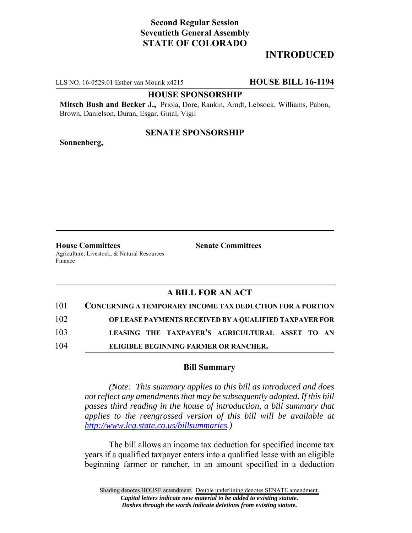# **Second Regular Session Seventieth General Assembly STATE OF COLORADO**

# **INTRODUCED**

LLS NO. 16-0529.01 Esther van Mourik x4215 **HOUSE BILL 16-1194**

### **HOUSE SPONSORSHIP**

**Mitsch Bush and Becker J.,** Priola, Dore, Rankin, Arndt, Lebsock, Williams, Pabon, Brown, Danielson, Duran, Esgar, Ginal, Vigil

## **SENATE SPONSORSHIP**

**Sonnenberg,**

**House Committees Senate Committees** Agriculture, Livestock, & Natural Resources Finance

## **A BILL FOR AN ACT**

| 101 | <b>CONCERNING A TEMPORARY INCOME TAX DEDUCTION FOR A PORTION</b> |
|-----|------------------------------------------------------------------|
| 102 | OF LEASE PAYMENTS RECEIVED BY A QUALIFIED TAXPAYER FOR           |
| 103 | LEASING THE TAXPAYER'S AGRICULTURAL ASSET TO AN                  |
| 104 | ELIGIBLE BEGINNING FARMER OR RANCHER.                            |

## **Bill Summary**

*(Note: This summary applies to this bill as introduced and does not reflect any amendments that may be subsequently adopted. If this bill passes third reading in the house of introduction, a bill summary that applies to the reengrossed version of this bill will be available at http://www.leg.state.co.us/billsummaries.)*

The bill allows an income tax deduction for specified income tax years if a qualified taxpayer enters into a qualified lease with an eligible beginning farmer or rancher, in an amount specified in a deduction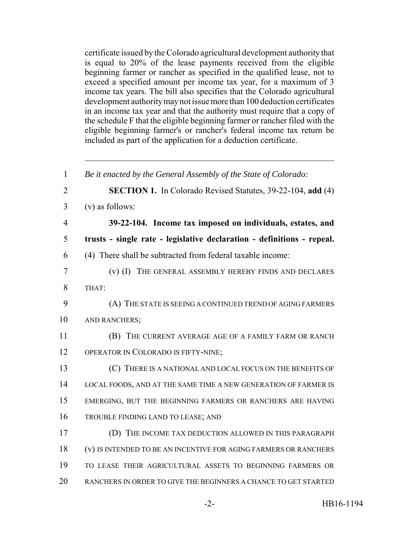certificate issued by the Colorado agricultural development authority that is equal to 20% of the lease payments received from the eligible beginning farmer or rancher as specified in the qualified lease, not to exceed a specified amount per income tax year, for a maximum of 3 income tax years. The bill also specifies that the Colorado agricultural development authority may not issue more than 100 deduction certificates in an income tax year and that the authority must require that a copy of the schedule F that the eligible beginning farmer or rancher filed with the eligible beginning farmer's or rancher's federal income tax return be included as part of the application for a deduction certificate.

 *Be it enacted by the General Assembly of the State of Colorado:* **SECTION 1.** In Colorado Revised Statutes, 39-22-104, **add** (4) (v) as follows: **39-22-104. Income tax imposed on individuals, estates, and trusts - single rate - legislative declaration - definitions - repeal.** (4) There shall be subtracted from federal taxable income: (v) (I) THE GENERAL ASSEMBLY HEREBY FINDS AND DECLARES 8 THAT: (A) THE STATE IS SEEING A CONTINUED TREND OF AGING FARMERS 10 AND RANCHERS; (B) THE CURRENT AVERAGE AGE OF A FAMILY FARM OR RANCH OPERATOR IN COLORADO IS FIFTY-NINE; (C) THERE IS A NATIONAL AND LOCAL FOCUS ON THE BENEFITS OF 14 LOCAL FOODS, AND AT THE SAME TIME A NEW GENERATION OF FARMER IS EMERGING, BUT THE BEGINNING FARMERS OR RANCHERS ARE HAVING TROUBLE FINDING LAND TO LEASE; AND (D) THE INCOME TAX DEDUCTION ALLOWED IN THIS PARAGRAPH (v) IS INTENDED TO BE AN INCENTIVE FOR AGING FARMERS OR RANCHERS TO LEASE THEIR AGRICULTURAL ASSETS TO BEGINNING FARMERS OR RANCHERS IN ORDER TO GIVE THE BEGINNERS A CHANCE TO GET STARTED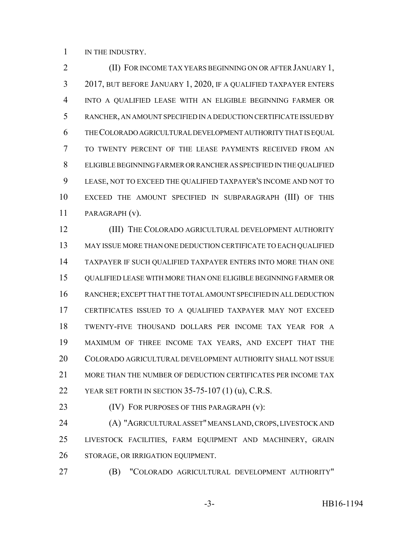1 IN THE INDUSTRY.

**(II) FOR INCOME TAX YEARS BEGINNING ON OR AFTER JANUARY 1,**  2017, BUT BEFORE JANUARY 1, 2020, IF A QUALIFIED TAXPAYER ENTERS INTO A QUALIFIED LEASE WITH AN ELIGIBLE BEGINNING FARMER OR RANCHER, AN AMOUNT SPECIFIED IN A DEDUCTION CERTIFICATE ISSUED BY THE COLORADO AGRICULTURAL DEVELOPMENT AUTHORITY THAT IS EQUAL TO TWENTY PERCENT OF THE LEASE PAYMENTS RECEIVED FROM AN ELIGIBLE BEGINNING FARMER OR RANCHER AS SPECIFIED IN THE QUALIFIED LEASE, NOT TO EXCEED THE QUALIFIED TAXPAYER'S INCOME AND NOT TO EXCEED THE AMOUNT SPECIFIED IN SUBPARAGRAPH (III) OF THIS PARAGRAPH (v).

 (III) THE COLORADO AGRICULTURAL DEVELOPMENT AUTHORITY MAY ISSUE MORE THAN ONE DEDUCTION CERTIFICATE TO EACH QUALIFIED TAXPAYER IF SUCH QUALIFIED TAXPAYER ENTERS INTO MORE THAN ONE QUALIFIED LEASE WITH MORE THAN ONE ELIGIBLE BEGINNING FARMER OR RANCHER; EXCEPT THAT THE TOTAL AMOUNT SPECIFIED IN ALL DEDUCTION CERTIFICATES ISSUED TO A QUALIFIED TAXPAYER MAY NOT EXCEED TWENTY-FIVE THOUSAND DOLLARS PER INCOME TAX YEAR FOR A MAXIMUM OF THREE INCOME TAX YEARS, AND EXCEPT THAT THE COLORADO AGRICULTURAL DEVELOPMENT AUTHORITY SHALL NOT ISSUE MORE THAN THE NUMBER OF DEDUCTION CERTIFICATES PER INCOME TAX YEAR SET FORTH IN SECTION 35-75-107 (1) (u), C.R.S.

**(IV) FOR PURPOSES OF THIS PARAGRAPH (v):** 

 (A) "AGRICULTURAL ASSET" MEANS LAND, CROPS, LIVESTOCK AND LIVESTOCK FACILITIES, FARM EQUIPMENT AND MACHINERY, GRAIN STORAGE, OR IRRIGATION EQUIPMENT.

(B) "COLORADO AGRICULTURAL DEVELOPMENT AUTHORITY"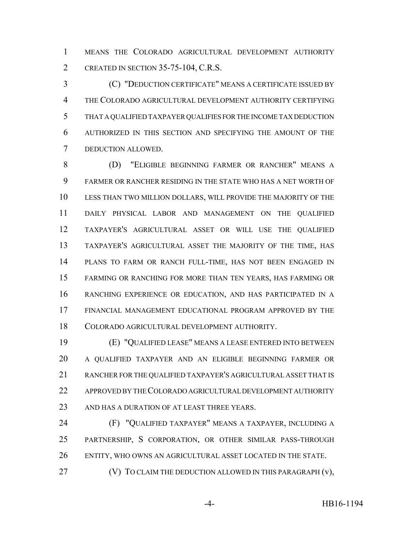MEANS THE COLORADO AGRICULTURAL DEVELOPMENT AUTHORITY 2 CREATED IN SECTION 35-75-104, C.R.S.

 (C) "DEDUCTION CERTIFICATE" MEANS A CERTIFICATE ISSUED BY THE COLORADO AGRICULTURAL DEVELOPMENT AUTHORITY CERTIFYING THAT A QUALIFIED TAXPAYER QUALIFIES FOR THE INCOME TAX DEDUCTION AUTHORIZED IN THIS SECTION AND SPECIFYING THE AMOUNT OF THE DEDUCTION ALLOWED.

 (D) "ELIGIBLE BEGINNING FARMER OR RANCHER" MEANS A FARMER OR RANCHER RESIDING IN THE STATE WHO HAS A NET WORTH OF LESS THAN TWO MILLION DOLLARS, WILL PROVIDE THE MAJORITY OF THE DAILY PHYSICAL LABOR AND MANAGEMENT ON THE QUALIFIED TAXPAYER'S AGRICULTURAL ASSET OR WILL USE THE QUALIFIED TAXPAYER'S AGRICULTURAL ASSET THE MAJORITY OF THE TIME, HAS PLANS TO FARM OR RANCH FULL-TIME, HAS NOT BEEN ENGAGED IN FARMING OR RANCHING FOR MORE THAN TEN YEARS, HAS FARMING OR RANCHING EXPERIENCE OR EDUCATION, AND HAS PARTICIPATED IN A FINANCIAL MANAGEMENT EDUCATIONAL PROGRAM APPROVED BY THE COLORADO AGRICULTURAL DEVELOPMENT AUTHORITY.

 (E) "QUALIFIED LEASE" MEANS A LEASE ENTERED INTO BETWEEN A QUALIFIED TAXPAYER AND AN ELIGIBLE BEGINNING FARMER OR RANCHER FOR THE QUALIFIED TAXPAYER'S AGRICULTURAL ASSET THAT IS APPROVED BY THE COLORADO AGRICULTURAL DEVELOPMENT AUTHORITY AND HAS A DURATION OF AT LEAST THREE YEARS.

 (F) "QUALIFIED TAXPAYER" MEANS A TAXPAYER, INCLUDING A PARTNERSHIP, S CORPORATION, OR OTHER SIMILAR PASS-THROUGH ENTITY, WHO OWNS AN AGRICULTURAL ASSET LOCATED IN THE STATE.

**(V)** TO CLAIM THE DEDUCTION ALLOWED IN THIS PARAGRAPH (v),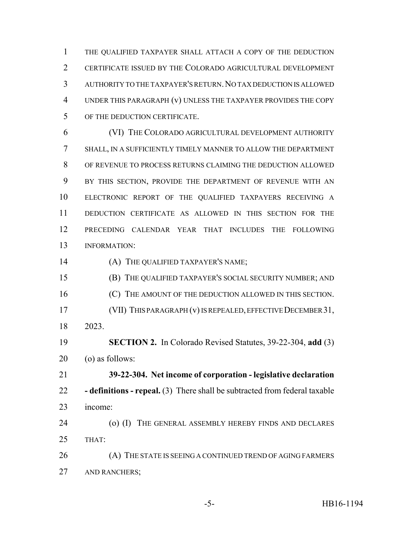THE QUALIFIED TAXPAYER SHALL ATTACH A COPY OF THE DEDUCTION CERTIFICATE ISSUED BY THE COLORADO AGRICULTURAL DEVELOPMENT AUTHORITY TO THE TAXPAYER'S RETURN.NO TAX DEDUCTION IS ALLOWED UNDER THIS PARAGRAPH (v) UNLESS THE TAXPAYER PROVIDES THE COPY OF THE DEDUCTION CERTIFICATE.

 (VI) THE COLORADO AGRICULTURAL DEVELOPMENT AUTHORITY SHALL, IN A SUFFICIENTLY TIMELY MANNER TO ALLOW THE DEPARTMENT OF REVENUE TO PROCESS RETURNS CLAIMING THE DEDUCTION ALLOWED BY THIS SECTION, PROVIDE THE DEPARTMENT OF REVENUE WITH AN ELECTRONIC REPORT OF THE QUALIFIED TAXPAYERS RECEIVING A DEDUCTION CERTIFICATE AS ALLOWED IN THIS SECTION FOR THE PRECEDING CALENDAR YEAR THAT INCLUDES THE FOLLOWING INFORMATION:

14 (A) THE QUALIFIED TAXPAYER'S NAME;

 (B) THE QUALIFIED TAXPAYER'S SOCIAL SECURITY NUMBER; AND **(C)** THE AMOUNT OF THE DEDUCTION ALLOWED IN THIS SECTION. (VII) THIS PARAGRAPH (v) IS REPEALED, EFFECTIVE DECEMBER 31, 2023.

 **SECTION 2.** In Colorado Revised Statutes, 39-22-304, **add** (3) (o) as follows:

 **39-22-304. Net income of corporation - legislative declaration - definitions - repeal.** (3) There shall be subtracted from federal taxable income:

24 (o) (I) THE GENERAL ASSEMBLY HEREBY FINDS AND DECLARES THAT:

26 (A) THE STATE IS SEEING A CONTINUED TREND OF AGING FARMERS AND RANCHERS;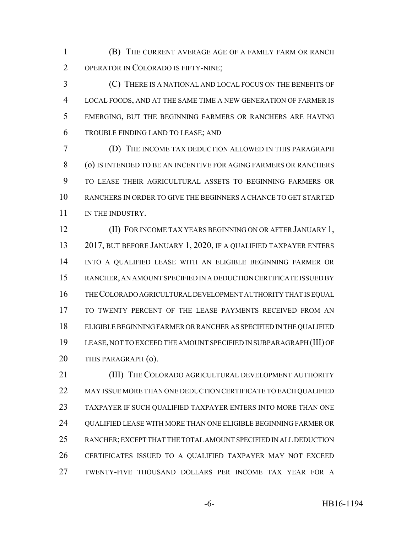(B) THE CURRENT AVERAGE AGE OF A FAMILY FARM OR RANCH OPERATOR IN COLORADO IS FIFTY-NINE;

 (C) THERE IS A NATIONAL AND LOCAL FOCUS ON THE BENEFITS OF LOCAL FOODS, AND AT THE SAME TIME A NEW GENERATION OF FARMER IS EMERGING, BUT THE BEGINNING FARMERS OR RANCHERS ARE HAVING TROUBLE FINDING LAND TO LEASE; AND

 (D) THE INCOME TAX DEDUCTION ALLOWED IN THIS PARAGRAPH (o) IS INTENDED TO BE AN INCENTIVE FOR AGING FARMERS OR RANCHERS TO LEASE THEIR AGRICULTURAL ASSETS TO BEGINNING FARMERS OR RANCHERS IN ORDER TO GIVE THE BEGINNERS A CHANCE TO GET STARTED 11 IN THE INDUSTRY.

**(II) FOR INCOME TAX YEARS BEGINNING ON OR AFTER JANUARY 1,** 13 2017, BUT BEFORE JANUARY 1, 2020, IF A QUALIFIED TAXPAYER ENTERS INTO A QUALIFIED LEASE WITH AN ELIGIBLE BEGINNING FARMER OR RANCHER, AN AMOUNT SPECIFIED IN A DEDUCTION CERTIFICATE ISSUED BY THE COLORADO AGRICULTURAL DEVELOPMENT AUTHORITY THAT IS EQUAL TO TWENTY PERCENT OF THE LEASE PAYMENTS RECEIVED FROM AN ELIGIBLE BEGINNING FARMER OR RANCHER AS SPECIFIED IN THE QUALIFIED LEASE, NOT TO EXCEED THE AMOUNT SPECIFIED IN SUBPARAGRAPH (III) OF 20 THIS PARAGRAPH (0).

**(III) THE COLORADO AGRICULTURAL DEVELOPMENT AUTHORITY** 22 MAY ISSUE MORE THAN ONE DEDUCTION CERTIFICATE TO EACH QUALIFIED TAXPAYER IF SUCH QUALIFIED TAXPAYER ENTERS INTO MORE THAN ONE QUALIFIED LEASE WITH MORE THAN ONE ELIGIBLE BEGINNING FARMER OR RANCHER; EXCEPT THAT THE TOTAL AMOUNT SPECIFIED IN ALL DEDUCTION CERTIFICATES ISSUED TO A QUALIFIED TAXPAYER MAY NOT EXCEED TWENTY-FIVE THOUSAND DOLLARS PER INCOME TAX YEAR FOR A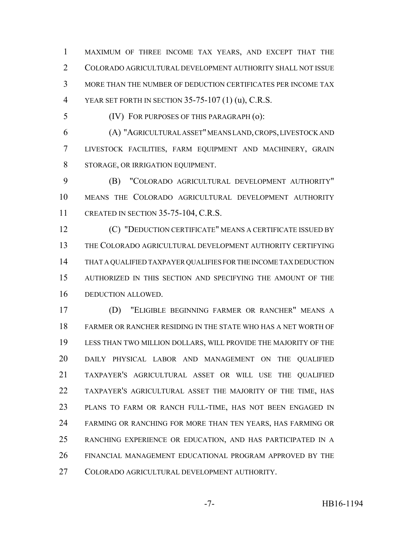MAXIMUM OF THREE INCOME TAX YEARS, AND EXCEPT THAT THE COLORADO AGRICULTURAL DEVELOPMENT AUTHORITY SHALL NOT ISSUE MORE THAN THE NUMBER OF DEDUCTION CERTIFICATES PER INCOME TAX YEAR SET FORTH IN SECTION 35-75-107 (1) (u), C.R.S.

(IV) FOR PURPOSES OF THIS PARAGRAPH (o):

 (A) "AGRICULTURAL ASSET" MEANS LAND, CROPS, LIVESTOCK AND LIVESTOCK FACILITIES, FARM EQUIPMENT AND MACHINERY, GRAIN STORAGE, OR IRRIGATION EQUIPMENT.

 (B) "COLORADO AGRICULTURAL DEVELOPMENT AUTHORITY" MEANS THE COLORADO AGRICULTURAL DEVELOPMENT AUTHORITY CREATED IN SECTION 35-75-104, C.R.S.

 (C) "DEDUCTION CERTIFICATE" MEANS A CERTIFICATE ISSUED BY THE COLORADO AGRICULTURAL DEVELOPMENT AUTHORITY CERTIFYING THAT A QUALIFIED TAXPAYER QUALIFIES FOR THE INCOME TAX DEDUCTION AUTHORIZED IN THIS SECTION AND SPECIFYING THE AMOUNT OF THE DEDUCTION ALLOWED.

 (D) "ELIGIBLE BEGINNING FARMER OR RANCHER" MEANS A FARMER OR RANCHER RESIDING IN THE STATE WHO HAS A NET WORTH OF LESS THAN TWO MILLION DOLLARS, WILL PROVIDE THE MAJORITY OF THE DAILY PHYSICAL LABOR AND MANAGEMENT ON THE QUALIFIED TAXPAYER'S AGRICULTURAL ASSET OR WILL USE THE QUALIFIED TAXPAYER'S AGRICULTURAL ASSET THE MAJORITY OF THE TIME, HAS PLANS TO FARM OR RANCH FULL-TIME, HAS NOT BEEN ENGAGED IN FARMING OR RANCHING FOR MORE THAN TEN YEARS, HAS FARMING OR RANCHING EXPERIENCE OR EDUCATION, AND HAS PARTICIPATED IN A FINANCIAL MANAGEMENT EDUCATIONAL PROGRAM APPROVED BY THE COLORADO AGRICULTURAL DEVELOPMENT AUTHORITY.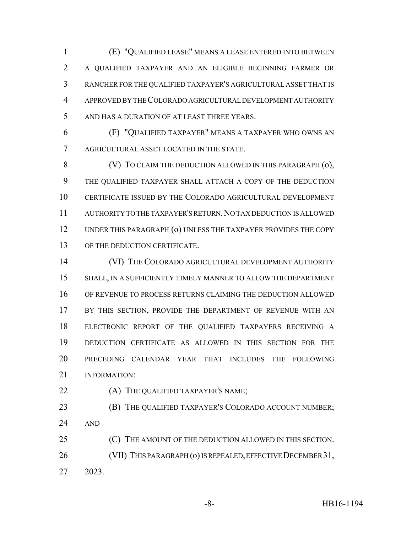(E) "QUALIFIED LEASE" MEANS A LEASE ENTERED INTO BETWEEN A QUALIFIED TAXPAYER AND AN ELIGIBLE BEGINNING FARMER OR RANCHER FOR THE QUALIFIED TAXPAYER'S AGRICULTURAL ASSET THAT IS APPROVED BY THE COLORADO AGRICULTURAL DEVELOPMENT AUTHORITY AND HAS A DURATION OF AT LEAST THREE YEARS.

 (F) "QUALIFIED TAXPAYER" MEANS A TAXPAYER WHO OWNS AN AGRICULTURAL ASSET LOCATED IN THE STATE.

8 (V) TO CLAIM THE DEDUCTION ALLOWED IN THIS PARAGRAPH (0), THE QUALIFIED TAXPAYER SHALL ATTACH A COPY OF THE DEDUCTION CERTIFICATE ISSUED BY THE COLORADO AGRICULTURAL DEVELOPMENT AUTHORITY TO THE TAXPAYER'S RETURN.NO TAX DEDUCTION IS ALLOWED UNDER THIS PARAGRAPH (o) UNLESS THE TAXPAYER PROVIDES THE COPY 13 OF THE DEDUCTION CERTIFICATE.

 (VI) THE COLORADO AGRICULTURAL DEVELOPMENT AUTHORITY SHALL, IN A SUFFICIENTLY TIMELY MANNER TO ALLOW THE DEPARTMENT OF REVENUE TO PROCESS RETURNS CLAIMING THE DEDUCTION ALLOWED BY THIS SECTION, PROVIDE THE DEPARTMENT OF REVENUE WITH AN ELECTRONIC REPORT OF THE QUALIFIED TAXPAYERS RECEIVING A DEDUCTION CERTIFICATE AS ALLOWED IN THIS SECTION FOR THE PRECEDING CALENDAR YEAR THAT INCLUDES THE FOLLOWING INFORMATION:

- **(A) THE QUALIFIED TAXPAYER'S NAME;**
- **(B)** THE QUALIFIED TAXPAYER'S COLORADO ACCOUNT NUMBER; AND

 (C) THE AMOUNT OF THE DEDUCTION ALLOWED IN THIS SECTION. (VII) THIS PARAGRAPH (o) IS REPEALED, EFFECTIVE DECEMBER 31, 2023.